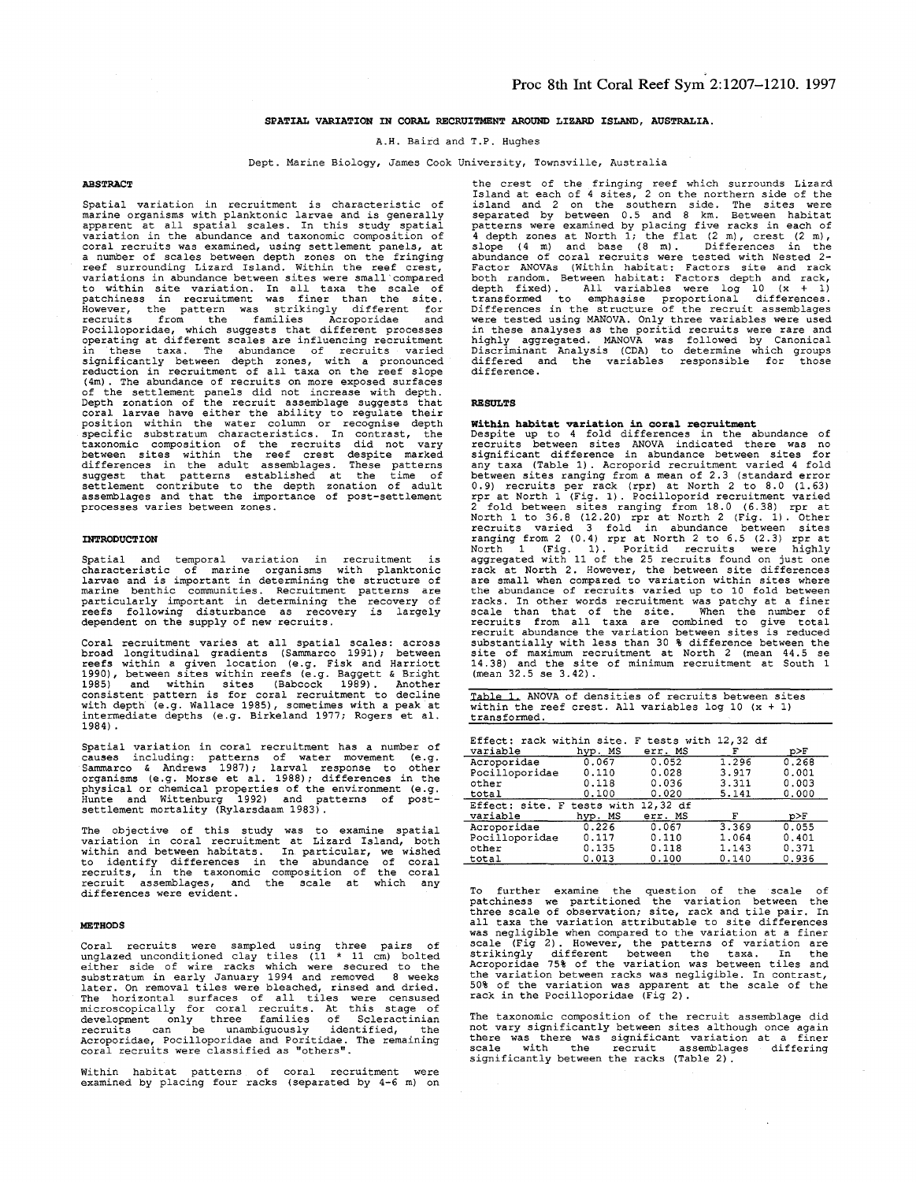## **SPATIAL VARIATION IN CORAL RECRUITMENT AROUND LIZARD ISLAND, AUSTRALIA.**

A.H. Baird and T.P. Hughes

Dept. Marine Biology, James Cook University, Townsville, Australia

# **ABSTRACT**

**Spatial variation in recruitment is characteristic of**  marine organisms with planktonic larvae and is generally apparent at all spatial scales. In this study spatial variation in the abundance and taxonomic composition of **coral recruits was examined, using settlement panels, at**  a number of scales between depth zones on the fringing reef surrounding Lizard Island. Within the reef crest, variations in abundance between sites were small compared<br>to within site variation. In all taxa the scale of<br>patchiness in recruitment was finer than the site.<br>However, the pattern was strikingly different for<br>recruits fro in these taxa. The abundance of recruits varied significantly between depth zones, with a pronounced reduction in recruitment of all taxa on the reef slope (4m). The abundance of recruits on more exposed surfaces of the settlement panels did not increase with depth. Depth zonation of the recruit assemblage suggests that coral larvae have either the ability to regulate their<br>position within the water column or recognise depth<br>position within the water column or recognise depth<br>taxonomic composition of the recruits did not vary<br>between site

#### **INTRODUCTION**

Spatial and temporal variation in recruitment is characteristic of marine organisms with planktonic larvae and is important in determining the structure of marine benthic communities. Recruitment patterns are particularly important in determining the recovery of reefs following disturbance as recovery is largely dependent on the supply of new recruits.

Coral recruitment varies at all spatial scales: across broad longitudinal gradients (Sammarco 1991); between reefs within a given location (e.g. Fisk and Harriott 1990), between sites within reefs (e.g. Baggett & Bright 1985) and within sites (Babcock 1989) . Another consistent pattern is for coral recruitment to decline with depth (e.g. Wallace 1985), sometimes with a peak at intermediate depths (e.g. Birkeland 1977; Rogers et al. 1984) .

Spatial variation in coral recruitment has a number of<br>causes including: patterns of water movement (e.g.<br>Sammarco & Andrews 1987); larval response to other<br>organisms (e.g. Morse et al. 1988); differences in the<br>physical o

The objective of this study was to examine spatial<br>variation in coral recruitment at Lizard Island, both<br>within and between habitats. In particular, we wished<br>to identify differences in the abundance of coral<br>recruits, in

#### **METHODS**

Coral recruits were sampled using three pairs of unglazed unconditioned clay tiles  $(11 \times 11 \text{ cm})$  bolted either side of wire racks which were secured to the substratum in early January 1994 and removed 8 weeks later. On The horizontal surfaces of all tiles were censused<br>The horizontal surfaces of all tiles were censused<br>microscopically for coral recruits. At this stage of<br>recruits can be unambiguously identified, the<br>recruits can be unamb

Within habitat patterns of coral recruitment were<br>examined by placing four racks (separated by 4-6 m) on

the crest of the fringing reef which surrounds Lizard<br>Island at each of 4 sites, 2 on the northern side of the<br>island and 2 on the southern side. The sites were<br>separated by between 0.5 and 8 km. Between habitat<br>patterns

#### **RESULTS**

# **Within habitat variation in coral recruitment**

Despite up to 4 fold differences in the abundance of recruits between sites ANOVA indicated there was no significant difference in abundance between sites for any taxa (Table 1). Acroporid recruitment varied 4 fold between sites ranging from a mean of 2.3 (standard error<br>0.9) recruits per rack (rpr) at North 2 to 8.0 (1.63)<br>rpr at North 1 (Fig. 1). Pocillopoid recruitment varied<br>2 fold between sites ranging from 18.0 (6.38) rpr at<br>No the abundance of recruits varied up to 10 fold between<br>racks. In other words recruitement was patchy at a finer<br>scale than that of the site. When the number of<br>recruits from all taxa are combined to give total<br>recruits fro

Table 1. ANOVA of densities of recruits between sites within the reef crest. All variables log  $10$   $(x + 1)$ transformed.

| Effect: rack within site. F tests with 12,32 df<br>variable | hvp. MS | err. MS | F     | p>F   |
|-------------------------------------------------------------|---------|---------|-------|-------|
| Acroporidae                                                 | 0.067   | 0.052   | 1.296 | 0.268 |
| Pocilloporidae                                              | 0.110   | 0.028   | 3.917 | 0.001 |
| other                                                       | 0.118   | 0.036   | 3.311 | 0.003 |
| total                                                       | 0.100   | 0.020   | 5.141 | 0.000 |
| Effect: site. F tests with 12,32 df                         |         |         |       |       |
| variable                                                    | hyp. MS | err. MS | F     | p>F   |
| Acroporidae                                                 | 0.226   | 0.067   | 3.369 | 0.055 |
| Pocilloporidae                                              | 0.117   | 0.110   | 1.064 | 0.401 |
| other                                                       | 0.135   | 0.118   | 1.143 | 0.371 |
| total                                                       | 0.013   | 0.100   | 0.140 | 0.936 |

To further examine the question of the scale of<br>patchiness we partitioned the variation between the<br>three scale of observation; site, rack and tile pair. In<br>all taxa the variation attributable to site differences<br>was negli scale (Fig 2). However, the patterns of variation are strikingly different between the taxa. In the Acroporidae 75% of the variation was between tiles and the variation between racks was negligible. In contrast, 50% of the variation was apparent at the scale of the rack in the Pocilloporidae (Fig 2) .

The taxonomic composition of the recruit assemblage did not vary significantly between sites although once again<br>there was there was significant variation at a finer<br>scale with the recruit assemblages differing<br>significantly between the racks (Table 2).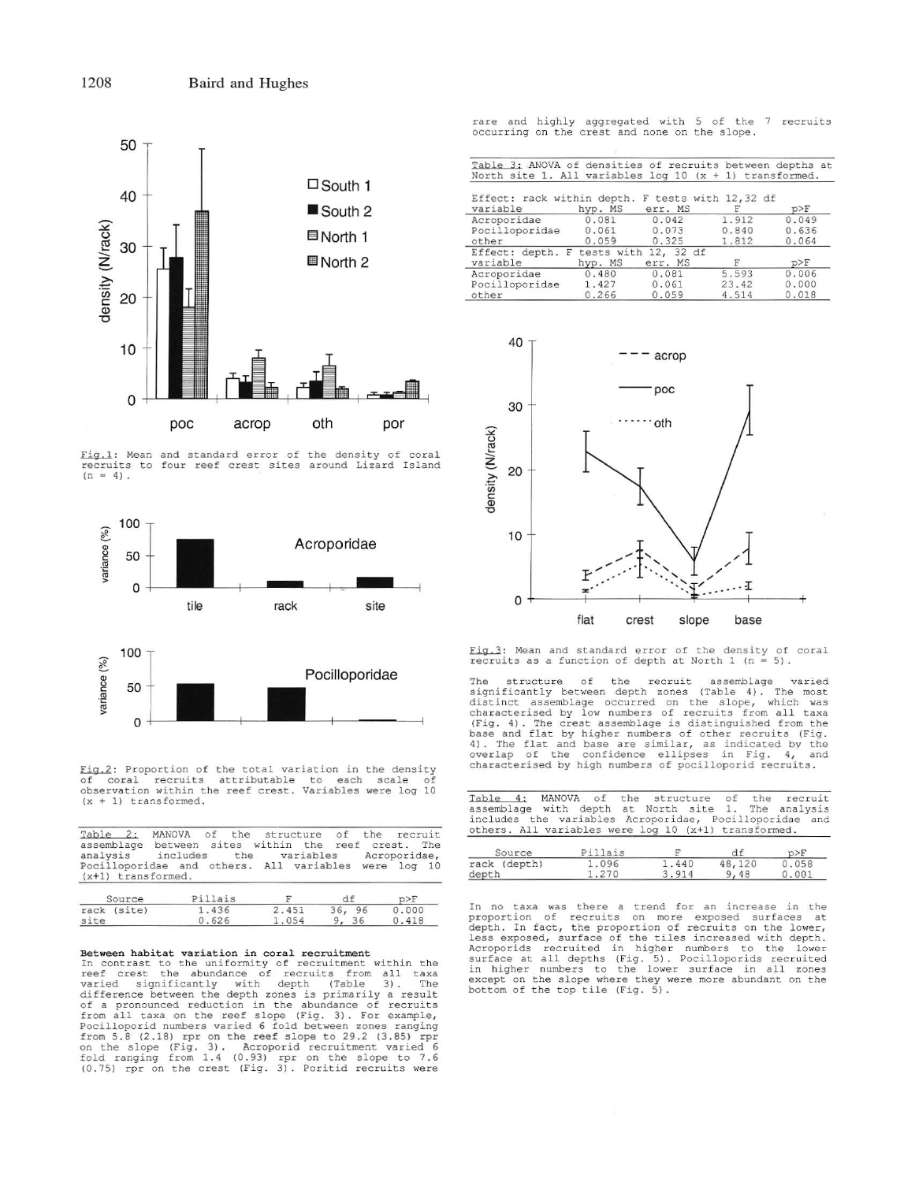

Fig.1: Mean and standard error of the density of coral recruits to four reef crest sites around Lizard Island  $(n = 4)$ .



Fig.2: Proportion of the total variation in the density of coral recruits attributable to each scale of observation withi n the reef crest . Variables were log 10  $(x + 1)$  transformed.

|                      |  |  | Table 2: MANOVA of the structure of the recruit      |  |  |  |
|----------------------|--|--|------------------------------------------------------|--|--|--|
|                      |  |  | assemblage between sites within the reef crest. The  |  |  |  |
|                      |  |  | analysis includes the variables Acroporidae,         |  |  |  |
| $(x+1)$ transformed. |  |  | Pocilloporidae and others. All variables were log 10 |  |  |  |
|                      |  |  |                                                      |  |  |  |

| Source      | Pillais |       |           | D>F   |
|-------------|---------|-------|-----------|-------|
| rack (site) | 1.436   | 2.451 | 96<br>36. | 0.000 |
| site        | 0.626   | .054  |           | 0.418 |

## Between habitat variation in coral recruitment

Decrease and the uniformity of recruitment within the<br>read contrast to the uniformity of recruitment within the<br>reef crest the abundance of recruits from all taxa<br>varied significantly with depth (Table 3). The<br>difference b Pocilloporid numbers varied 6 fold between zones ranging<br>from 5.8 (2.18) rpr on the reef slope to 29.2 (3.85) rpr<br>on the slope (Fig. 3). Acroporid recuitment varied 6<br>fold ranging from 1.4 (0.93) rpr on the slope to 7.6<br>(0 rare and highly aggregated with 5 of the 7 recruits<br>occurring on the crest and none on the slope.

|  | Table 3: ANOVA of densities of recruits between depths at |  |  |  |  |
|--|-----------------------------------------------------------|--|--|--|--|
|  | North site 1. All variables $log 10 (x + 1)$ transformed. |  |  |  |  |

| Effect: rack within depth.<br>variable            | hyp. MS | F tests with 12,32 df<br>err. MS |       | p>F   |
|---------------------------------------------------|---------|----------------------------------|-------|-------|
| Acroporidae                                       | 0.081   | 0.042                            | 1.912 | 0.049 |
| Pocilloporidae                                    | 0.061   | 0.073                            | 0.840 | 0.636 |
| other                                             | 0.059   | 0.325                            | 1.812 | 0.064 |
| Effect: depth. F tests with 12, 32 df<br>variable | hyp. MS | err. MS                          | F     | p>F   |
| Acroporidae                                       | 0.480   | 0.081                            | 5.593 | 0.006 |
| Pocilloporidae                                    | 1.427   | 0.061                            | 23.42 | 0.000 |
| other                                             | 0.266   | 0.059                            | 4.514 | 0.018 |



Fig.3: Mean and standard error of the density of coral recruits as a function of depth at North 1 (n = 5).

The structure of the recruit assemblage varied significantly between depth zones (Table 4). The most distinct assemblage occurred on the slope, which was characterised by low numbers of recruits from all taxa (Fig. 4). The crest assemblage is distinguished from the base and flat by higher numbers of other recruits (Fig. 4). The flat and base are similar, as indicated by the overlap of the confidence ellipses in Fig. 4, and cha

| Table 4: MANOVA of the structure of the recruit        |  |  |  |  |  |
|--------------------------------------------------------|--|--|--|--|--|
| assemblage with depth at North site 1. The analysis    |  |  |  |  |  |
| includes the variables Acroporidae, Pocilloporidae and |  |  |  |  |  |
| others. All variables were log 10 (x+1) transformed.   |  |  |  |  |  |

| Source       | Pillais |       |        | p>F   |
|--------------|---------|-------|--------|-------|
| rack (depth) | 1.096   | 1.440 | 48,120 | 0.058 |
| depth        | 1.270   | 3.914 | 9,48   | 0.001 |

In no taxa was there a trend for an increase in the<br>proportion of recruits on more exposed surfaces at<br>depth. In fact, the proportion of recruits on the lower,<br>less exposed, surface of the tiles increased with depth.<br>Acrop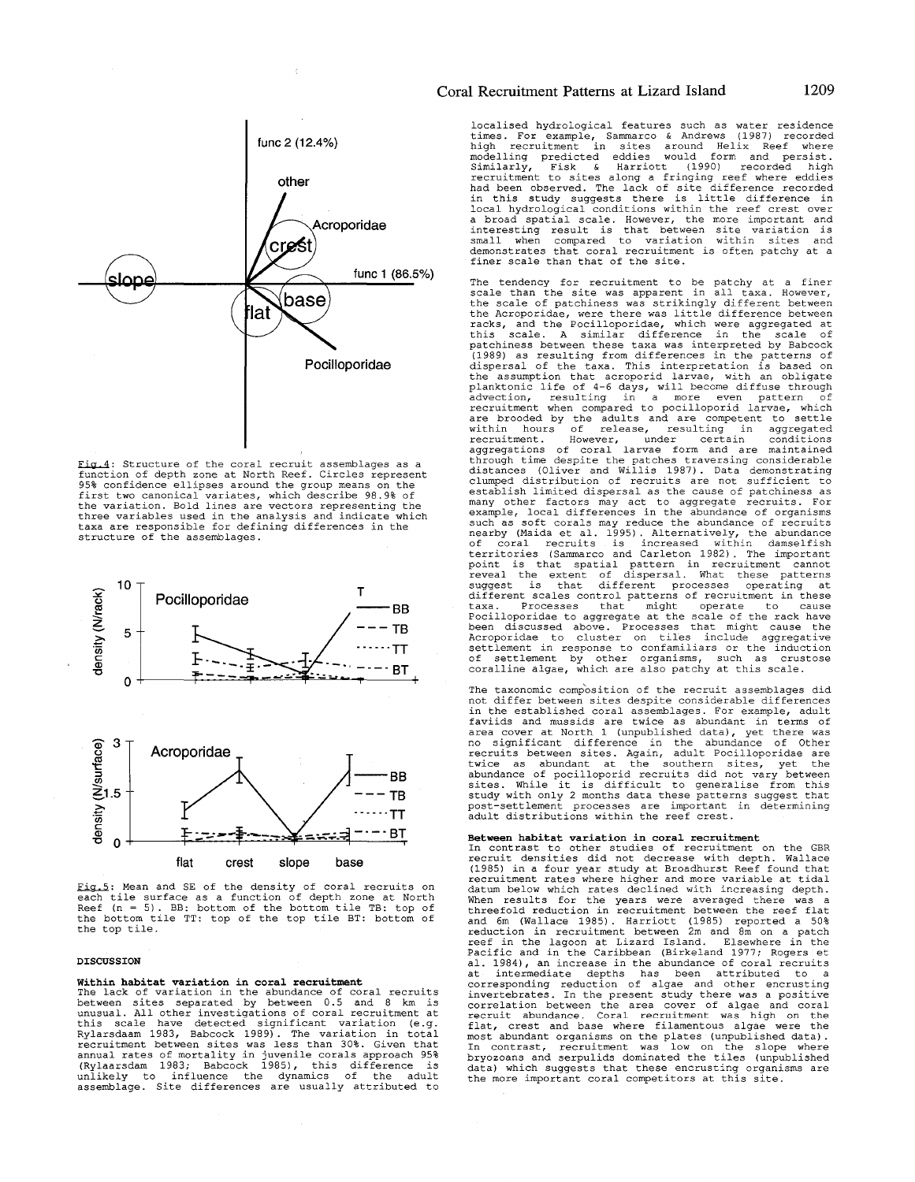

~: **Structure of the coral recruit assemblages as a**  function of depth zone at North Reef. Circles represent 95% confidence ellipses around the group means on the **first two canonical variates, which describe 98.9% of the variation. Bold lines are vectors representing the three variables used in the analysis and indicate which taxa are responsible for defining differences in the**  structure of the assemblages.



Fig.5: Mean and SE of the density of coral recruits on each tile surface as a function of depth zone at North Reef (n ~ 5). BB: bottom of the bottom tile TB: top of the bottom tile TT: top of the top tile BT: bottom of the top tile.

## **DISCUSSION**

## **Within habitat variation in coral recruitment**

The lack of variation in the abundance of coral recruits<br>between sites separated by between 0.5 and 8 km is<br>unusual. All other investigations of coral recruitment at<br>this scale have detected significant variation (e.g. Rylarsdaam 1983, Babcock 1989). The variation in total recruitment between sites was less than 30%. Given that annual rates of mortality in juvenile corals approach 95% (Rylaarsdam 1983; Babcock 1985), this difference is unlikely to influence the dynamics of the adult assemblage. Site differences are usually attributed to

# **Coral Recruitment Patterns at Lizard Island 1209**

localised hydrological features such as water residence times. For example, Sammarco & Andrews (1987) recorded<br>high recruitment in sites around Helix Reef where<br>modelling predicted eddies would form and persist.<br>Similarly, Fisk & Harriott (1990) recorded high<br>recruitment to sit a broad spatial scale. However, the more important and<br>interesting result is that between site variation is<br>small when compared to variation vithin sites and<br>demonstrates that coral recruitment is often patchy at a<br>finer s

The tendency for recruitment to be patchy at a finer<br>scale than the site was apparent in all taxa. However,<br>the scale of patchiness was strikingly different between<br>the Acroporidae, were there was little difference between (1989) as resulting from differences in the patterns of<br>dispersal of the taxa. This interpretation is based on<br>the assumption that acropoid larvae, with an obligate<br>planktonic life of  $4-6$  days, will become diffuse throu recruitment. However, under certain conditions<br>aggregations of coral larvae form and are maintained<br>through time despite the patches traversing considerable<br>distances (Oliver and Willis 1987). Data demonstrating<br>clumped di such as soft corals may reduce the abundance of recruits<br>nearby (Maida et al. 1995). Alternatively, the abundance<br>of coral recruits is increased within dammedish<br>territories (Sammarco and Carleton 1982). The important<br>poin

**The taxonomic composition of the recruit assemblages did**  not differ between sites despite considerable differences<br>in the established coral assemblages. For example, adult<br>favids and mussics are twice as abundant in terms of<br>area cover at North 1 (unpublished data), yet there wa study with only 2 months data these patterns suggest that **post-settlement processes are important in determining**  adult distributions within the reef crest.

Between habitat variation in coral recruitment<br>In correct to other studies of recruitment<br>In contrast to other studies of recruitment on the GBR<br>recruit densities did not decrease with depth. Wallace<br>(1985) in a four year corresponding reduction of algae and other encrusting<br>invertebrates. In the present study there was a positive<br>correlation between the area cover of algae and coral<br>recruit abundance. Coral recruitment was high on the<br>flat **the more important coral competitors at this site.**